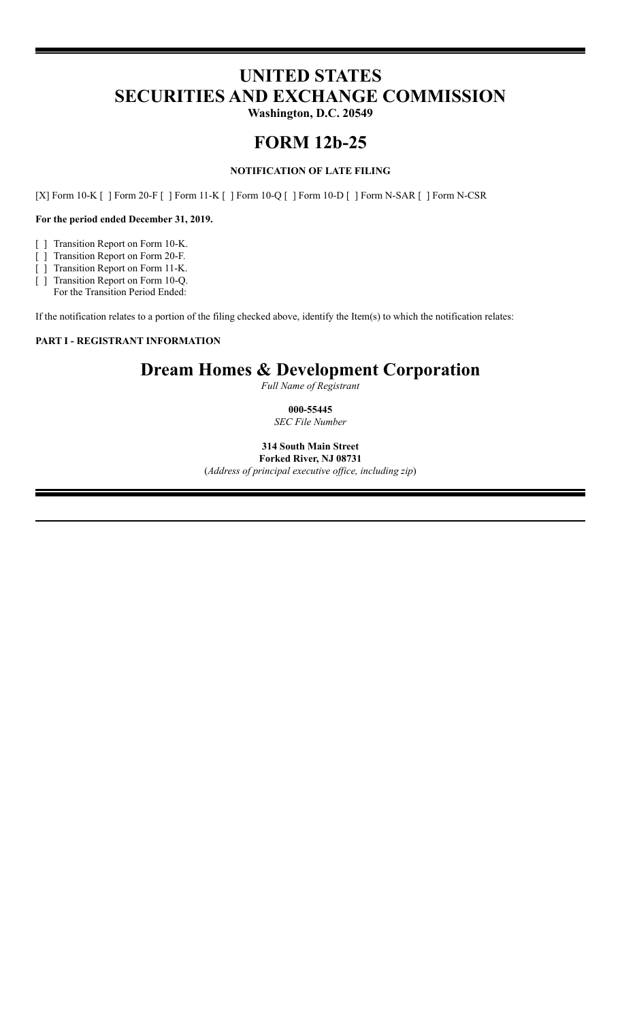# **UNITED STATES SECURITIES AND EXCHANGE COMMISSION**

**Washington, D.C. 20549**

## **FORM 12b-25**

## **NOTIFICATION OF LATE FILING**

[X] Form 10-K [ ] Form 20-F [ ] Form 11-K [ ] Form 10-Q [ ] Form 10-D [ ] Form N-SAR [ ] Form N-CSR

## **For the period ended December 31, 2019.**

- [ ] Transition Report on Form 10-K.
- [ ] Transition Report on Form 20-F.
- [ ] Transition Report on Form 11-K.
- [ ] Transition Report on Form 10-Q. For the Transition Period Ended:

If the notification relates to a portion of the filing checked above, identify the Item(s) to which the notification relates:

## **PART I - REGISTRANT INFORMATION**

## **Dream Homes & Development Corporation**

*Full Name of Registrant*

## **000-55445** *SEC File Number*

**314 South Main Street Forked River, NJ 08731**

(*Address of principal executive of ice, including zip*)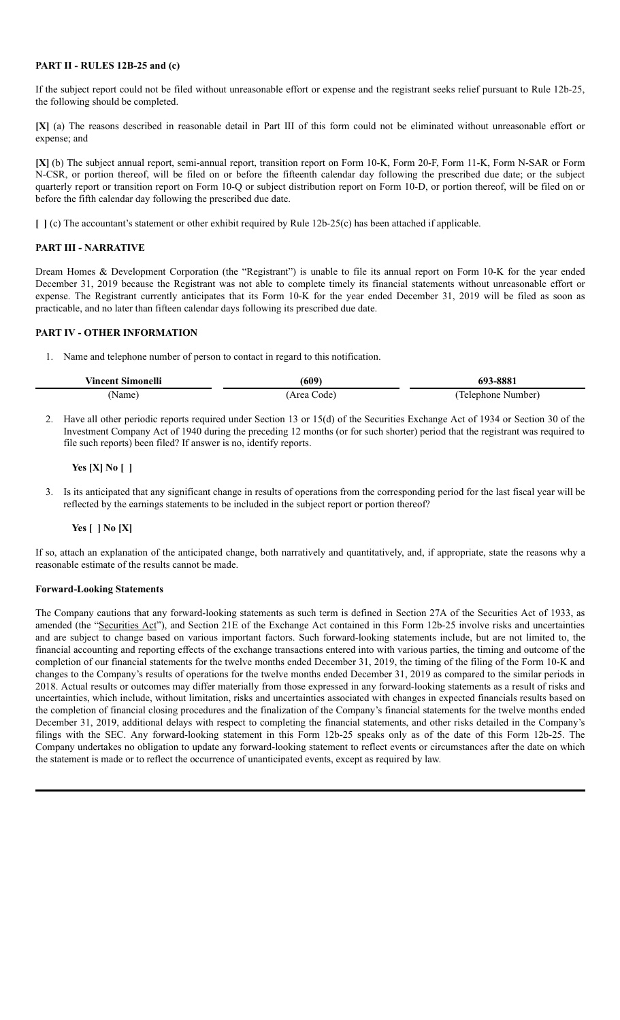#### **PART II - RULES 12B-25 and (c)**

If the subject report could not be filed without unreasonable effort or expense and the registrant seeks relief pursuant to Rule 12b-25, the following should be completed.

**[X]** (a) The reasons described in reasonable detail in Part III of this form could not be eliminated without unreasonable effort or expense; and

**[X]** (b) The subject annual report, semi-annual report, transition report on Form 10-K, Form 20-F, Form 11-K, Form N-SAR or Form N-CSR, or portion thereof, will be filed on or before the fifteenth calendar day following the prescribed due date; or the subject quarterly report or transition report on Form 10-Q or subject distribution report on Form 10-D, or portion thereof, will be filed on or before the fifth calendar day following the prescribed due date.

**[ ]** (c) The accountant's statement or other exhibit required by Rule 12b-25(c) has been attached if applicable.

## **PART III - NARRATIVE**

Dream Homes & Development Corporation (the "Registrant") is unable to file its annual report on Form 10-K for the year ended December 31, 2019 because the Registrant was not able to complete timely its financial statements without unreasonable effort or expense. The Registrant currently anticipates that its Form 10-K for the year ended December 31, 2019 will be filed as soon as practicable, and no later than fifteen calendar days following its prescribed due date.

## **PART IV - OTHER INFORMATION**

1. Name and telephone number of person to contact in regard to this notification.

| <b>Vincent Simonelli</b> | (609)       | 693-8881          |
|--------------------------|-------------|-------------------|
| Name)                    | (Area Code) | Telephone Number) |

2. Have all other periodic reports required under Section 13 or 15(d) of the Securities Exchange Act of 1934 or Section 30 of the Investment Company Act of 1940 during the preceding 12 months (or for such shorter) period that the registrant was required to file such reports) been filed? If answer is no, identify reports.

## **Yes [X] No [ ]**

3. Is its anticipated that any significant change in results of operations from the corresponding period for the last fiscal year will be reflected by the earnings statements to be included in the subject report or portion thereof?

## **Yes [ ] No [X]**

If so, attach an explanation of the anticipated change, both narratively and quantitatively, and, if appropriate, state the reasons why a reasonable estimate of the results cannot be made.

#### **Forward-Looking Statements**

The Company cautions that any forward-looking statements as such term is defined in Section 27A of the Securities Act of 1933, as amended (the "Securities Act"), and Section 21E of the Exchange Act contained in this Form 12b-25 involve risks and uncertainties and are subject to change based on various important factors. Such forward-looking statements include, but are not limited to, the financial accounting and reporting effects of the exchange transactions entered into with various parties, the timing and outcome of the completion of our financial statements for the twelve months ended December 31, 2019, the timing of the filing of the Form 10-K and changes to the Company's results of operations for the twelve months ended December 31, 2019 as compared to the similar periods in 2018. Actual results or outcomes may differ materially from those expressed in any forward-looking statements as a result of risks and uncertainties, which include, without limitation, risks and uncertainties associated with changes in expected financials results based on the completion of financial closing procedures and the finalization of the Company's financial statements for the twelve months ended December 31, 2019, additional delays with respect to completing the financial statements, and other risks detailed in the Company's filings with the SEC. Any forward-looking statement in this Form 12b-25 speaks only as of the date of this Form 12b-25. The Company undertakes no obligation to update any forward-looking statement to reflect events or circumstances after the date on which the statement is made or to reflect the occurrence of unanticipated events, except as required by law.